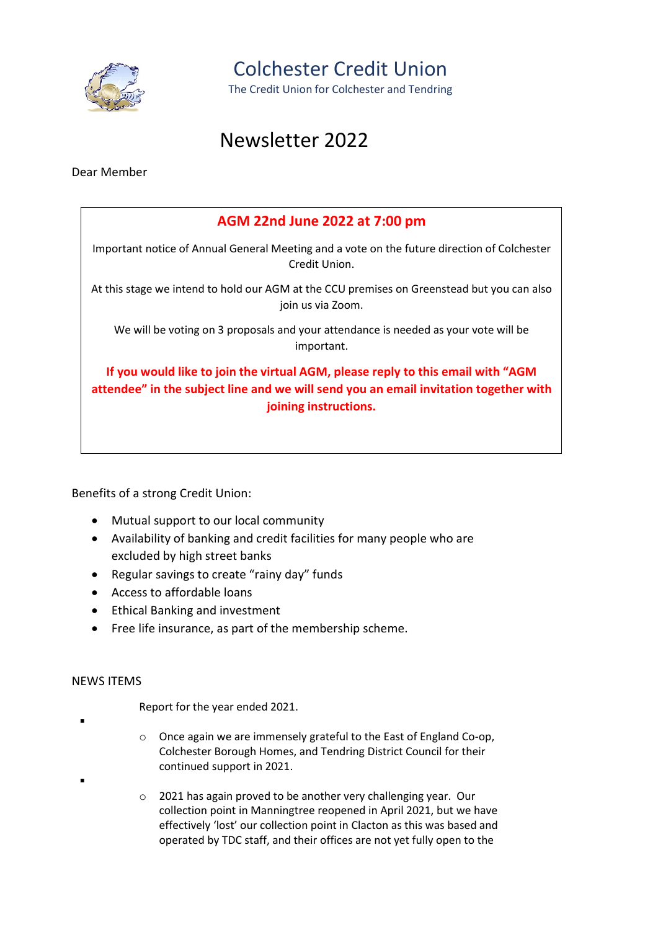

Colchester Credit Union

The Credit Union for Colchester and Tendring

# Newsletter 2022

Dear Member

## AGM 22nd June 2022 at 7:00 pm Important notice of Annual General Meeting and a vote on the future direction of Colchester Credit Union. At this stage we intend to hold our AGM at the CCU premises on Greenstead but you can also join us via Zoom. We will be voting on 3 proposals and your attendance is needed as your vote will be important. If you would like to join the virtual AGM, please reply to this email with "AGM attendee" in the subject line and we will send you an email invitation together with joining instructions.

Benefits of a strong Credit Union:

- Mutual support to our local community
- Availability of banking and credit facilities for many people who are excluded by high street banks
- Regular savings to create "rainy day" funds
- Access to affordable loans
- Ethical Banking and investment
- Free life insurance, as part of the membership scheme.

#### NEWS ITEMS

۰

۰

Report for the year ended 2021.

- o Once again we are immensely grateful to the East of England Co-op, Colchester Borough Homes, and Tendring District Council for their continued support in 2021.
- o 2021 has again proved to be another very challenging year. Our collection point in Manningtree reopened in April 2021, but we have effectively 'lost' our collection point in Clacton as this was based and operated by TDC staff, and their offices are not yet fully open to the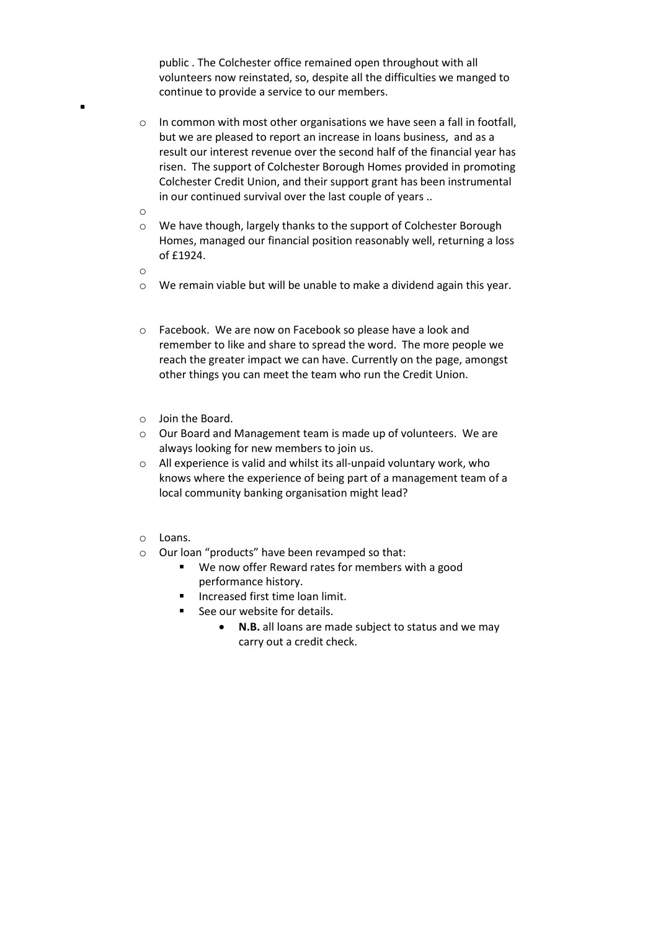public . The Colchester office remained open throughout with all volunteers now reinstated, so, despite all the difficulties we manged to continue to provide a service to our members.

- o In common with most other organisations we have seen a fall in footfall, but we are pleased to report an increase in loans business, and as a result our interest revenue over the second half of the financial year has risen. The support of Colchester Borough Homes provided in promoting Colchester Credit Union, and their support grant has been instrumental in our continued survival over the last couple of years ..
- o

- o We have though, largely thanks to the support of Colchester Borough Homes, managed our financial position reasonably well, returning a loss of £1924.
- o
- $\circ$  We remain viable but will be unable to make a dividend again this year.
- o Facebook. We are now on Facebook so please have a look and remember to like and share to spread the word. The more people we reach the greater impact we can have. Currently on the page, amongst other things you can meet the team who run the Credit Union.
- o Join the Board.
- o Our Board and Management team is made up of volunteers. We are always looking for new members to join us.
- o All experience is valid and whilst its all-unpaid voluntary work, who knows where the experience of being part of a management team of a local community banking organisation might lead?
- o Loans.
- o Our loan "products" have been revamped so that:
	- We now offer Reward rates for members with a good performance history.
	- **Increased first time loan limit.**
	- See our website for details.
		- N.B. all loans are made subject to status and we may carry out a credit check.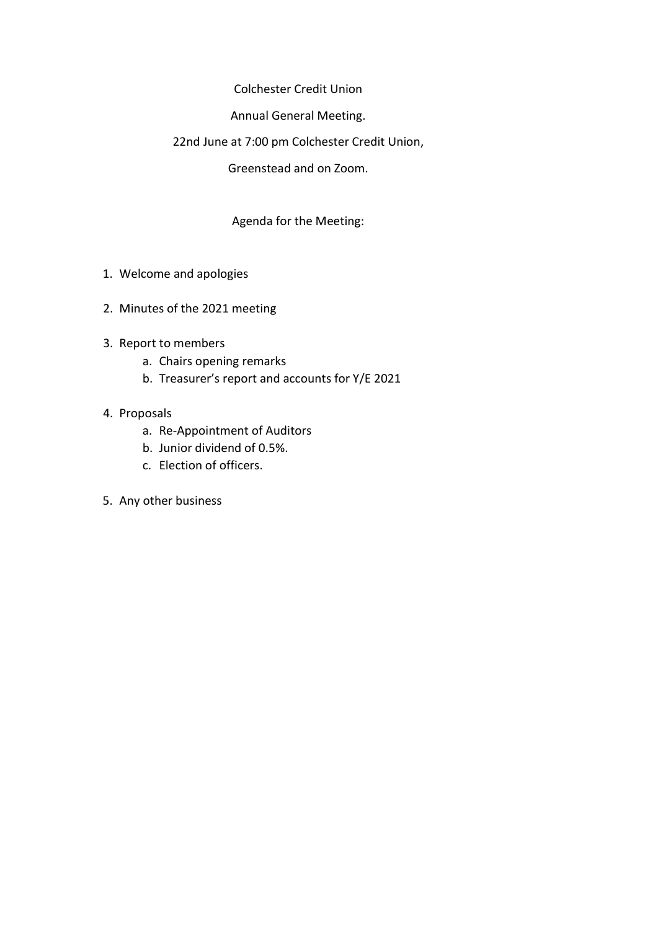Colchester Credit Union

Annual General Meeting.

#### 22nd June at 7:00 pm Colchester Credit Union,

Greenstead and on Zoom.

### Agenda for the Meeting:

- 1. Welcome and apologies
- 2. Minutes of the 2021 meeting
- 3. Report to members
	- a. Chairs opening remarks
	- b. Treasurer's report and accounts for Y/E 2021

#### 4. Proposals

- a. Re-Appointment of Auditors
- b. Junior dividend of 0.5%.
- c. Election of officers.
- 5. Any other business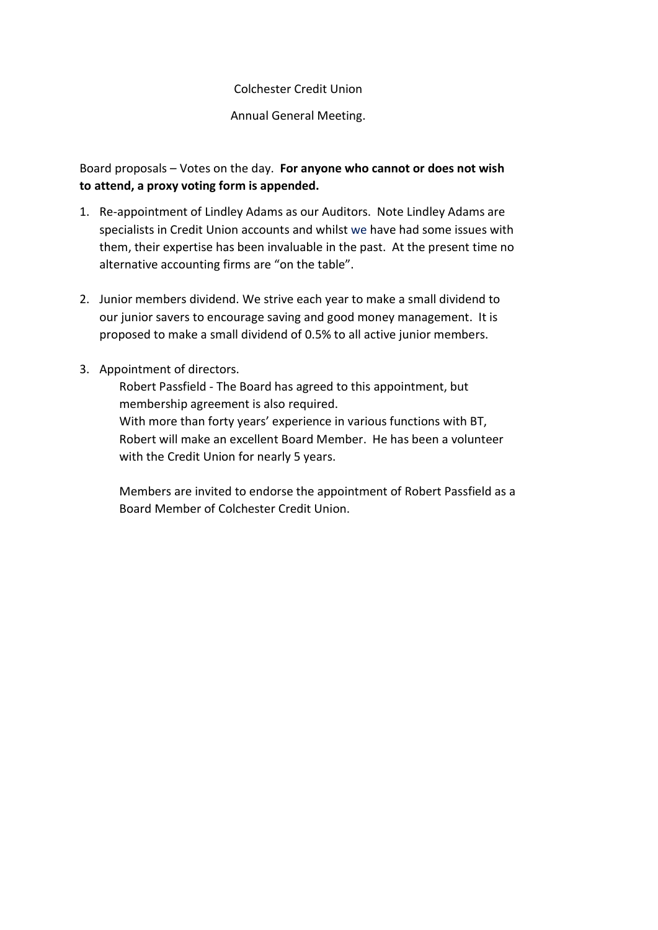Annual General Meeting.

Board proposals – Votes on the day. For anyone who cannot or does not wish to attend, a proxy voting form is appended.

- 1. Re-appointment of Lindley Adams as our Auditors. Note Lindley Adams are specialists in Credit Union accounts and whilst we have had some issues with them, their expertise has been invaluable in the past. At the present time no alternative accounting firms are "on the table".
- 2. Junior members dividend. We strive each year to make a small dividend to our junior savers to encourage saving and good money management. It is proposed to make a small dividend of 0.5% to all active junior members.
- 3. Appointment of directors.

Robert Passfield - The Board has agreed to this appointment, but membership agreement is also required. With more than forty years' experience in various functions with BT, Robert will make an excellent Board Member. He has been a volunteer with the Credit Union for nearly 5 years.

Members are invited to endorse the appointment of Robert Passfield as a Board Member of Colchester Credit Union.